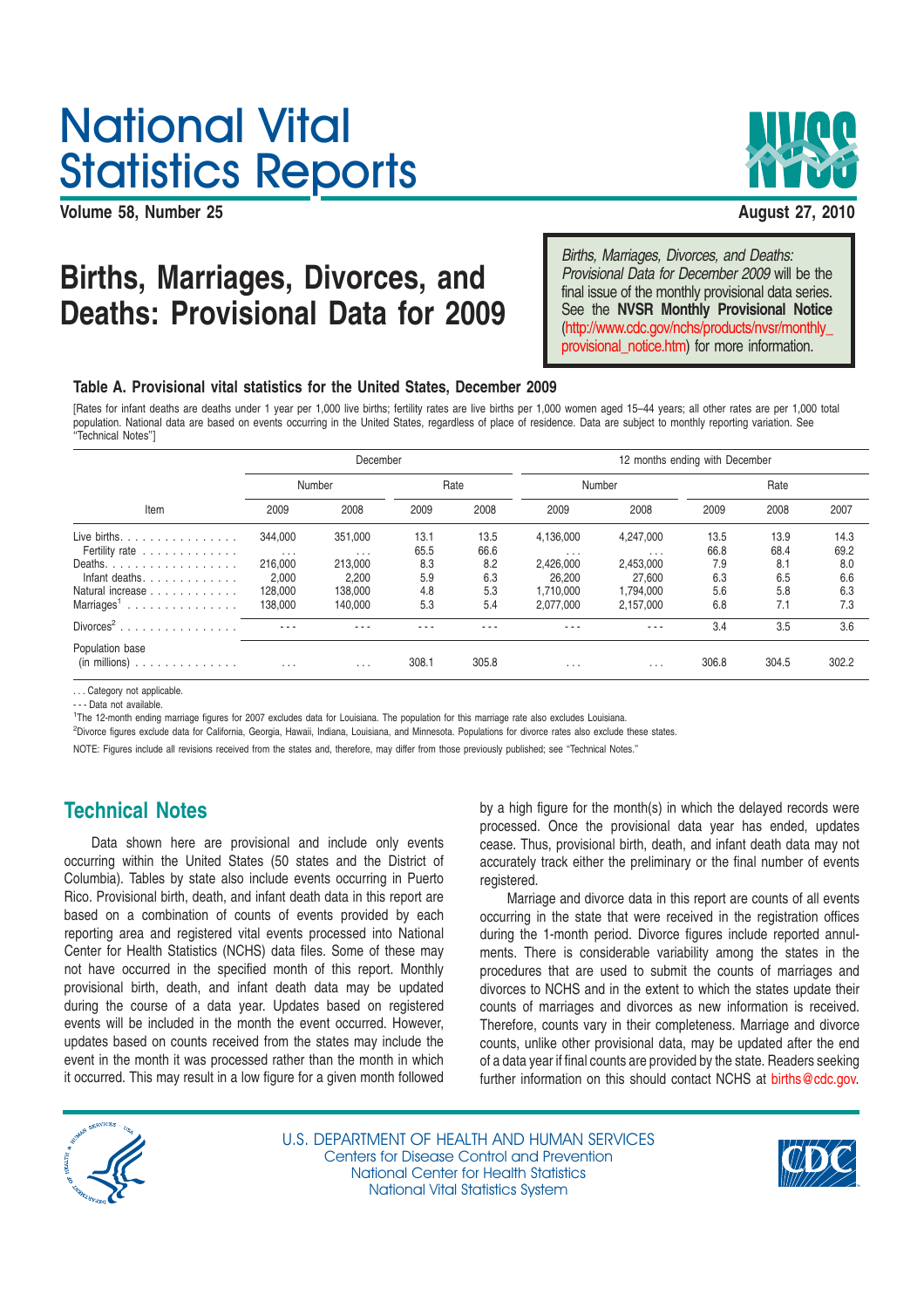# National Vital Statistics Reports

**Volume 58, Number 25 August 27, 2010**



## **Births, Marriages, Divorces, and Provisional Data for December 2009 will be the Deaths: Provisional Data for 2009**

Births, Marriages, Divorces, and Deaths: final issue of the monthly provisional data series. See the **NVSR Monthly Provisional Notice** (http://www.cdc.gov/nchs/products/nvsr/monthly\_ provisional\_notice.htm) for more information.

#### **Table A. Provisional vital statistics for the United States, December 2009**

[Rates for infant deaths are deaths under 1 year per 1,000 live births; fertility rates are live births per 1,000 women aged 15–44 years; all other rates are per 1,000 total population. National data are based on events occurring in the United States, regardless of place of residence. Data are subject to monthly reporting variation. See ''Technical Notes'']

|                                            | December            |                     |              |              | 12 months ending with December |                        |              |              |              |  |
|--------------------------------------------|---------------------|---------------------|--------------|--------------|--------------------------------|------------------------|--------------|--------------|--------------|--|
| Item                                       | Number              |                     | Rate         |              | Number                         |                        | Rate         |              |              |  |
|                                            | 2009                | 2008                | 2009         | 2008         | 2009                           | 2008                   | 2009         | 2008         | 2007         |  |
| Live births. $\ldots$<br>Fertility rate    | 344,000<br>$\ldots$ | 351,000<br>$\cdots$ | 13.1<br>65.5 | 13.5<br>66.6 | 4,136,000<br>$\cdots$          | 4,247,000<br>$\cdots$  | 13.5<br>66.8 | 13.9<br>68.4 | 14.3<br>69.2 |  |
| Deaths.<br>Infant deaths.                  | 216,000<br>2.000    | 213,000<br>2,200    | 8.3<br>5.9   | 8.2<br>6.3   | 2,426,000<br>26,200            | 2,453,000<br>27.600    | 7.9<br>6.3   | 8.1<br>6.5   | 8.0<br>6.6   |  |
| Natural increase<br>Marriages <sup>1</sup> | 128,000<br>138,000  | 138,000<br>140,000  | 4.8<br>5.3   | 5.3<br>5.4   | 1.710.000<br>2,077,000         | 1.794.000<br>2,157,000 | 5.6<br>6.8   | 5.8<br>7.1   | 6.3<br>7.3   |  |
| $Divorces2$                                | $- - -$             | . .                 |              |              |                                |                        | 3.4          | 3.5          | 3.6          |  |
| Population base<br>(in~millions)           | $\cdots$            | $\cdots$            | 308.1        | 305.8        | $\cdot$ $\cdot$ $\cdot$        | $\cdots$               | 306.8        | 304.5        | 302.2        |  |

Category not applicable.

- - - Data not available.

1 The 12-month ending marriage figures for 2007 excludes data for Louisiana. The population for this marriage rate also excludes Louisiana.

<sup>2</sup>Divorce figures exclude data for California, Georgia, Hawaii, Indiana, Louisiana, and Minnesota. Populations for divorce rates also exclude these states.

NOTE: Figures include all revisions received from the states and, therefore, may differ from those previously published; see ''Technical Notes.''

### **Technical Notes**

Data shown here are provisional and include only events occurring within the United States (50 states and the District of Columbia). Tables by state also include events occurring in Puerto Rico. Provisional birth, death, and infant death data in this report are based on a combination of counts of events provided by each reporting area and registered vital events processed into National Center for Health Statistics (NCHS) data files. Some of these may not have occurred in the specified month of this report. Monthly provisional birth, death, and infant death data may be updated during the course of a data year. Updates based on registered events will be included in the month the event occurred. However, updates based on counts received from the states may include the event in the month it was processed rather than the month in which it occurred. This may result in a low figure for a given month followed

by a high figure for the month(s) in which the delayed records were processed. Once the provisional data year has ended, updates cease. Thus, provisional birth, death, and infant death data may not accurately track either the preliminary or the final number of events registered.

Marriage and divorce data in this report are counts of all events occurring in the state that were received in the registration offices during the 1-month period. Divorce figures include reported annulments. There is considerable variability among the states in the procedures that are used to submit the counts of marriages and divorces to NCHS and in the extent to which the states update their counts of marriages and divorces as new information is received. Therefore, counts vary in their completeness. Marriage and divorce counts, unlike other provisional data, may be updated after the end of a data year if final counts are provided by the state. Readers seeking further information on this should contact NCHS at births@cdc.gov.



U.S. DEPARTMENT OF HEALTH AND HUMAN SERVICES Centers for Disease Control and Prevention National Center for Health Statistics National Vital Statistics System